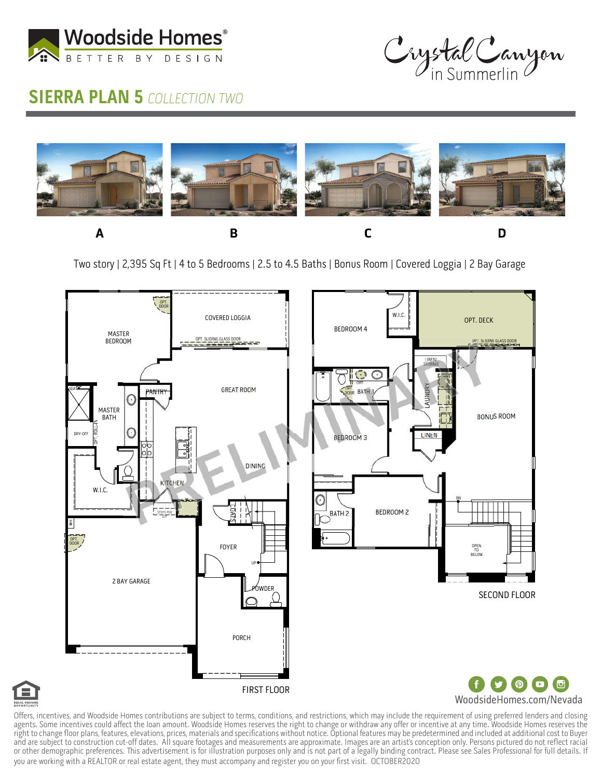

## Crystal Canyon

## **SIERRA PLAN 5 COLLECTION TWO**



Two story | 2,395 Sq Ft | 4 to 5 Bedrooms | 2.5 to 4.5 Baths | Bonus Room | Covered Loggia | 2 Bay Garage





Offers, incentives, and Woodside Homes contributions are subject to terms, conditions, and restrictions, which may include the requirement of using preferred lenders and closing agents. Some incentives could affect the loan amount. Woodside Homes reserves the right to change or withdraw any offer or incentive at any time. Woodside Homes reserves the right to change floor plans, features, elevations, prices, materials and specifications without notice. Optional features may be predetermined and included at additional cost to Buyer and are subject to construction cut-off dates. All square footages and measurements are approximate. Images are an artist's conception only. Persons pictured do not reflect racial or other demographic preferences. This advertisement is for illustration purposes only and is not part of a legally binding contract. Please see Sales Professional for full details. If you are working with a REALTOR or real estate agent, they must accompany and register you on your first visit. OCTOBER2020